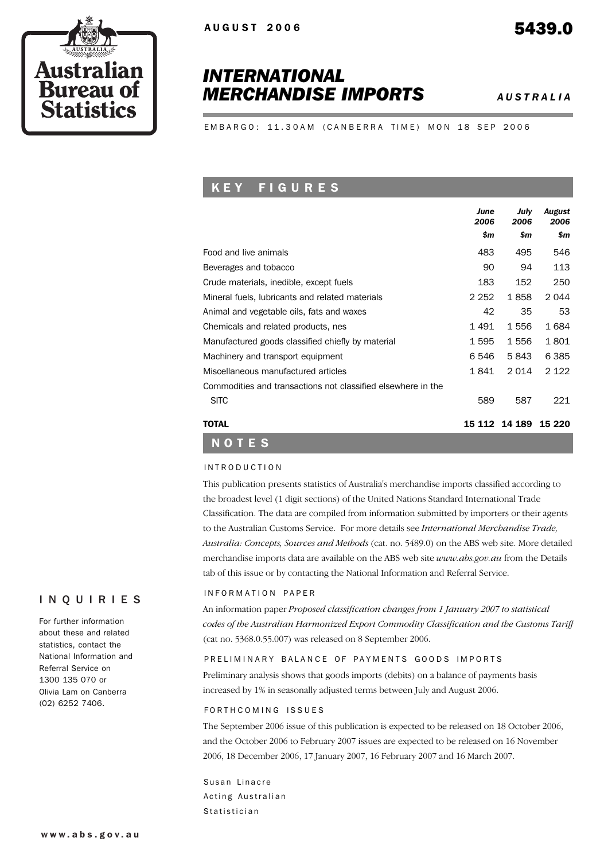# *INTERNATIONAL MERCHANDISE IMPORTS AUSTRALIA*

EMBARGO: 11.30AM (CANBERRA TIME) MON 18 SEP 2006

### K E Y F I G U R E S

|                                                              | June<br>2006 | July<br>2006 | August<br>2006 |
|--------------------------------------------------------------|--------------|--------------|----------------|
|                                                              | \$m          | \$m          | \$m            |
| Food and live animals                                        | 483          | 495          | 546            |
| Beverages and tobacco                                        | 90           | 94           | 113            |
| Crude materials, inedible, except fuels                      | 183          | 152          | 250            |
| Mineral fuels, lubricants and related materials              | 2 2 5 2      | 1858         | 2044           |
| Animal and vegetable oils, fats and waxes                    | 42           | 35           | 53             |
| Chemicals and related products, nes                          | 1491         | 1556         | 1684           |
| Manufactured goods classified chiefly by material            | 1 5 9 5      | 1556         | 1801           |
| Machinery and transport equipment                            | 6 546        | 5843         | 6 3 8 5        |
| Miscellaneous manufactured articles                          |              | 2014         | 2 1 2 2        |
| Commodities and transactions not classified elsewhere in the |              |              |                |
| <b>SITC</b>                                                  | 589          | 587          | 221            |
| TOTAL                                                        | 15 112       | 14 189       | 15 2 20        |

#### INTRODUCTION

NOTES

This publication presents statistics of Australia's merchandise imports classified according to the broadest level (1 digit sections) of the United Nations Standard International Trade Classification. The data are compiled from information submitted by importers or their agents to the Australian Customs Service. For more details see *International Merchandise Trade, Australia: Concepts, Sources and Methods* (cat. no. 5489.0) on the ABS web site. More detailed merchandise imports data are available on the ABS web site *www.abs.gov.au* from the Details tab of this issue or by contacting the National Information and Referral Service.

### INQUIRIES

For further information about these and related statistics, contact the National Information and Referral Service on 1300 135 070 or Olivia Lam on Canberra (02) 6252 7406.

**Austral** 

**Bureau of Statistics** 

#### INFORMATION PAPER

An information paper *Proposed classification changes from 1 January 2007 to statistical codes of the Australian Harmonized Export Commodity Classification and the Customs Tariff* (cat no. 5368.0.55.007) was released on 8 September 2006.

#### PRELIMINARY BALANCE OF PAYMENTS GOODS IMPORTS

Preliminary analysis shows that goods imports (debits) on a balance of payments basis increased by 1% in seasonally adjusted terms between July and August 2006.

#### FORTH COMING ISSUES

The September 2006 issue of this publication is expected to be released on 18 October 2006, and the October 2006 to February 2007 issues are expected to be released on 16 November 2006, 18 December 2006, 17 January 2007, 16 February 2007 and 16 March 2007.

Susan Linacre Acting Australian Statistician